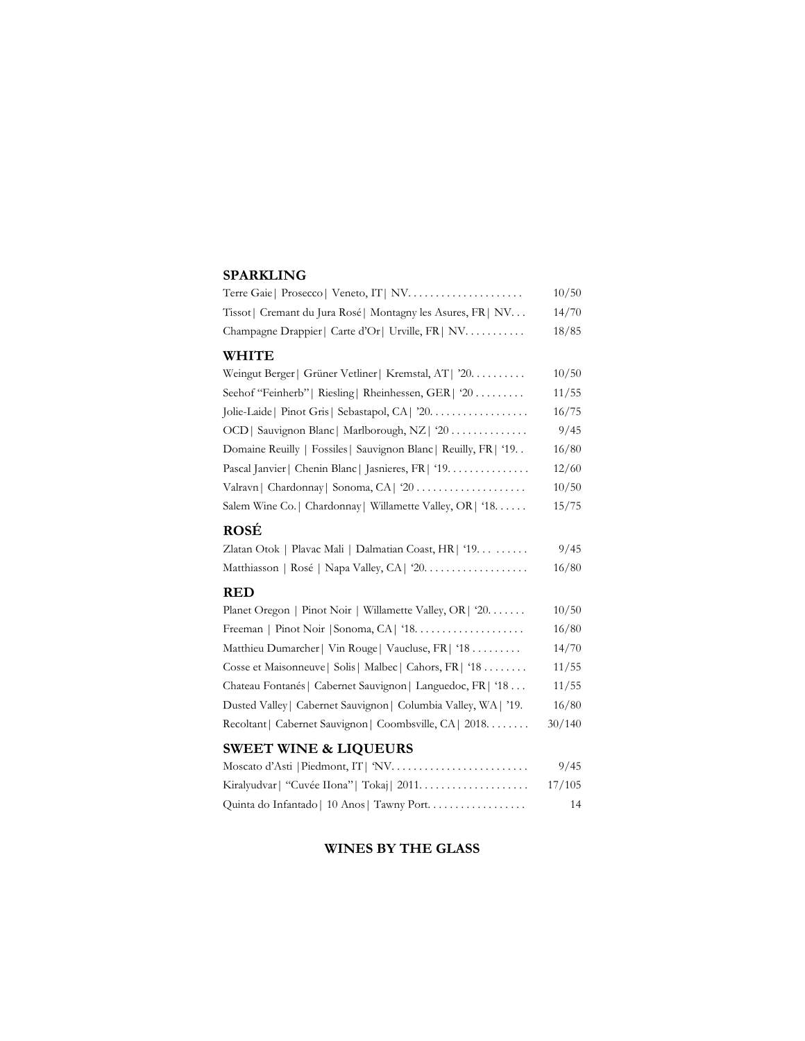#### **SPARKLING**

|                                                                     | 10/50  |
|---------------------------------------------------------------------|--------|
| Tissot   Cremant du Jura Rosé   Montagny les Asures, FR   NV        | 14/70  |
| Champagne Drappier   Carte d'Or   Urville, FR   NV.                 | 18/85  |
| <b>WHITE</b>                                                        |        |
| Weingut Berger   Grüner Vetliner   Kremstal, AT   '20.              | 10/50  |
| Seehof "Feinherb"   Riesling   Rheinhessen, GER   '20               | 11/55  |
| Jolie-Laide   Pinot Gris   Sebastapol, CA   '20.                    | 16/75  |
| OCD   Sauvignon Blanc   Marlborough, NZ   '20                       | 9/45   |
| Domaine Reuilly   Fossiles   Sauvignon Blanc   Reuilly, FR   '19. . | 16/80  |
| Pascal Janvier   Chenin Blanc   Jasnieres, FR   '19.                | 12/60  |
| Valravn   Chardonnay   Sonoma, CA   '20                             | 10/50  |
| Salem Wine Co.   Chardonnay   Willamette Valley, OR   '18.          | 15/75  |
| <b>ROSÉ</b>                                                         |        |
| Zlatan Otok   Plavac Mali   Dalmatian Coast, HR   '19.              | 9/45   |
|                                                                     | 16/80  |
| <b>RED</b>                                                          |        |
| Planet Oregon   Pinot Noir   Willamette Valley, OR   '20.           | 10/50  |
|                                                                     | 16/80  |
| Matthieu Dumarcher   Vin Rouge   Vaucluse, FR   '18                 | 14/70  |
| Cosse et Maisonneuve   Solis   Malbec   Cahors, FR   '18            | 11/55  |
| Chateau Fontanés   Cabernet Sauvignon   Languedoc, FR   '18         | 11/55  |
| Dusted Valley   Cabernet Sauvignon   Columbia Valley, WA   '19.     | 16/80  |
| Recoltant   Cabernet Sauvignon   Coombsville, CA   2018.            | 30/140 |
| <b>SWEET WINE &amp; LIQUEURS</b>                                    |        |
| Moscato d'Asti   Piedmont, IT   'NV                                 | 9/45   |
|                                                                     | 17/105 |
| Quinta do Infantado   10 Anos   Tawny Port.                         | 14     |

# **WINES BY THE GLASS**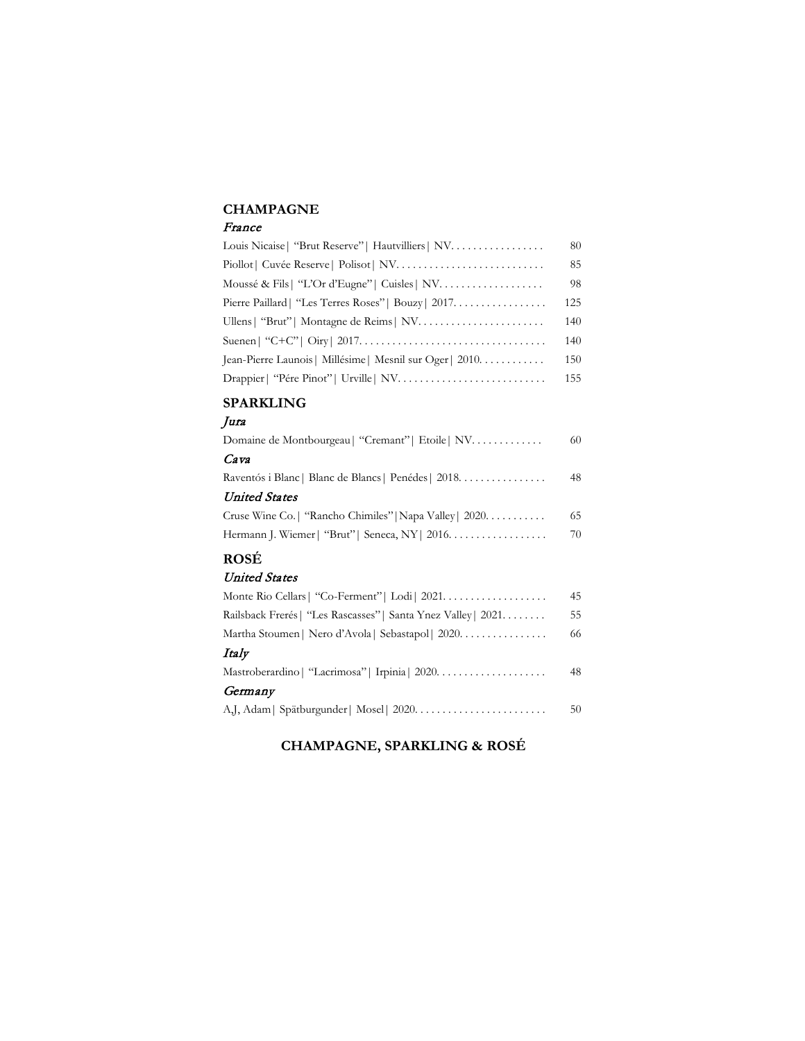#### **CHAMPAGNE**

#### France

| Louis Nicaise   "Brut Reserve"   Hautvilliers   NV.        | 80  |
|------------------------------------------------------------|-----|
|                                                            | 85  |
|                                                            | 98  |
| Pierre Paillard   "Les Terres Roses"   Bouzy   2017.       | 125 |
|                                                            | 140 |
|                                                            | 140 |
| Jean-Pierre Launois   Millésime   Mesnil sur Oger   $2010$ | 150 |
|                                                            | 155 |

#### **SPARKLING**

#### Jura

| Domaine de Montbourgeau   "Cremant"   Etoile   NV             | 60 |
|---------------------------------------------------------------|----|
| Cava                                                          |    |
| Raventós i Blanc   Blanc de Blancs   Penédes   2018.          | 48 |
| <b>United States</b>                                          |    |
| Cruse Wine Co.   "Rancho Chimiles"   Napa Valley   2020.      | 65 |
| Hermann J. Wiemer   "Brut"   Seneca, NY   2016.               | 70 |
| <b>ROSÉ</b>                                                   |    |
| <b>United States</b>                                          |    |
| Monte Rio Cellars   "Co-Ferment"   Lodi   2021.               | 45 |
| Railsback Frerés   "Les Rascasses"   Santa Ynez Valley   2021 | 55 |
| Martha Stoumen   Nero d'Avola   Sebastapol   2020.            | 66 |

#### Italy

| Germany | 48 |
|---------|----|
|         |    |
|         | 50 |

# **CHAMPAGNE, SPARKLING & ROSÉ**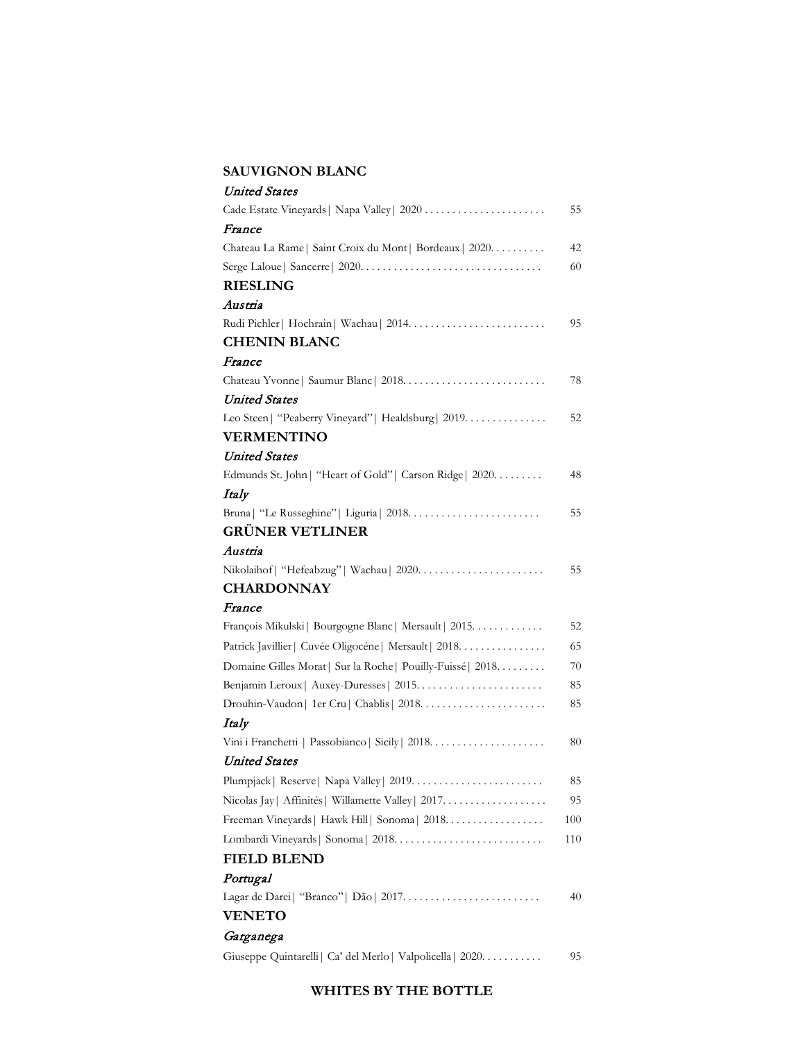### **SAUVIGNON BLANC**

| <b>United States</b>                                         |     |
|--------------------------------------------------------------|-----|
| Cade Estate Vineyards   Napa Valley   2020                   | 55  |
| France                                                       |     |
| Chateau La Rame   Saint Croix du Mont   Bordeaux   2020.     | 42  |
|                                                              | 60  |
| <b>RIESLING</b>                                              |     |
| Austria                                                      |     |
|                                                              | 95  |
| <b>CHENIN BLANC</b>                                          |     |
| France                                                       |     |
|                                                              | 78  |
| <b>United States</b>                                         |     |
| Leo Steen   "Peaberry Vineyard"   Healdsburg   2019.         | 52  |
| <b>VERMENTINO</b>                                            |     |
| <b>United States</b>                                         |     |
| Edmunds St. John   "Heart of Gold"   Carson Ridge   2020.    | 48  |
| Italy                                                        |     |
|                                                              | 55  |
| <b>GRÜNER VETLINER</b>                                       |     |
| Austria                                                      |     |
|                                                              | 55  |
| <b>CHARDONNAY</b>                                            |     |
| France                                                       |     |
| François Mikulski   Bourgogne Blanc   Mersault   2015.       | 52  |
| Patrick Javillier   Cuvée Oligocéne   Mersault   2018.       | 65  |
| Domaine Gilles Morat   Sur la Roche   Pouilly-Fuissé   2018. | 70  |
|                                                              | 85  |
|                                                              | 85  |
| Italy                                                        |     |
|                                                              | 80  |
| United States                                                |     |
|                                                              | 85  |
| Nicolas Jay   Affinités   Willamette Valley   2017.          | 95  |
| Freeman Vineyards   Hawk Hill   Sonoma   2018.               | 100 |
|                                                              | 110 |
| <b>FIELD BLEND</b>                                           |     |
| Portugal                                                     |     |
|                                                              | 40  |
| <b>VENETO</b>                                                |     |
| Garganega                                                    |     |
| Giuseppe Quintarelli   Ca' del Merlo   Valpolicella   2020.  | 95  |
|                                                              |     |

## **WHITES BY THE BOTTLE**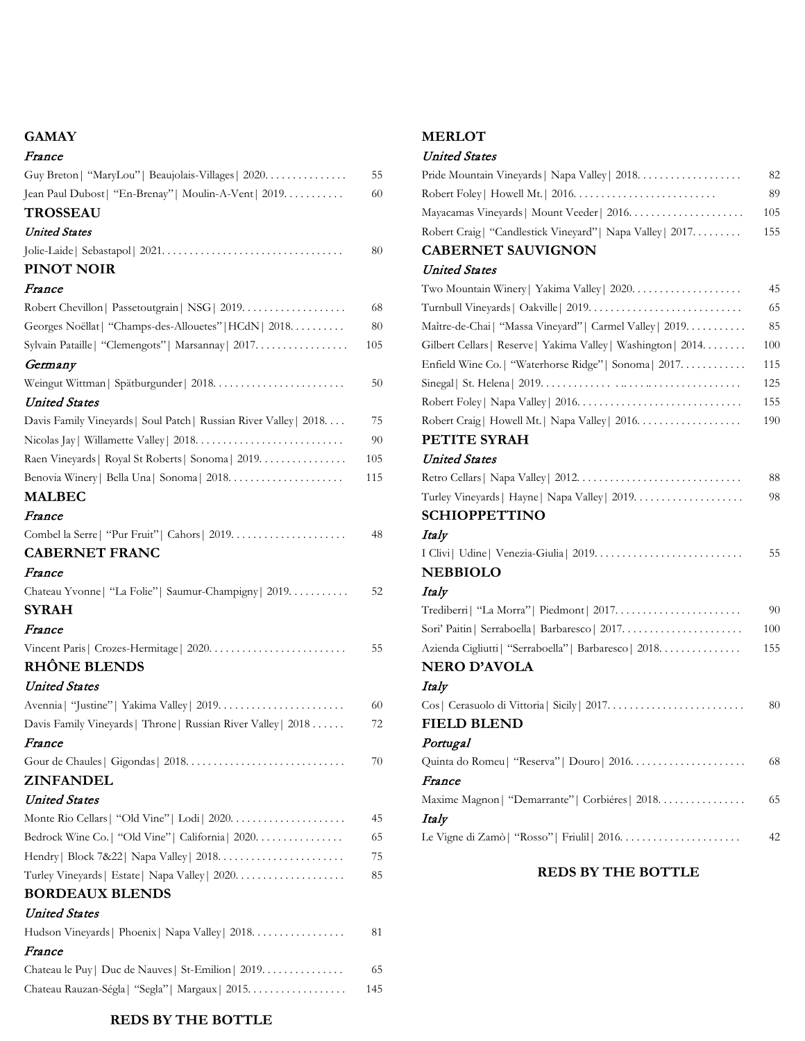### **GAMAY**

| France                                                             |     |
|--------------------------------------------------------------------|-----|
| Guy Breton   "MaryLou"   Beaujolais-Villages   2020.               | 55  |
| Jean Paul Dubost   "En-Brenay"   Moulin-A-Vent   2019.             | 60  |
| <b>TROSSEAU</b>                                                    |     |
| <b>United States</b>                                               |     |
|                                                                    | 80  |
| PINOT NOIR                                                         |     |
| France                                                             |     |
| Robert Chevillon   Passetoutgrain   NSG   2019.                    | 68  |
| Georges Noëllat   "Champs-des-Allouetes"   HCdN   2018.            | 80  |
| Sylvain Pataille   "Clemengots"   Marsannay   2017.                | 105 |
| Germany                                                            |     |
|                                                                    | 50  |
| <b>United States</b>                                               |     |
| Davis Family Vineyards   Soul Patch   Russian River Valley   2018. | 75  |
|                                                                    | 90  |
| Raen Vineyards   Royal St Roberts   Sonoma   2019.                 | 105 |
|                                                                    | 115 |
| <b>MALBEC</b>                                                      |     |
| France                                                             |     |
|                                                                    | 48  |
| <b>CABERNET FRANC</b>                                              |     |
| France                                                             |     |
| Chateau Yvonne   "La Folie"   Saumur-Champigny   2019.             | 52  |
| <b>SYRAH</b>                                                       |     |
| France                                                             |     |
|                                                                    | 55  |
| <b>RHÔNE BLENDS</b>                                                |     |
| <b>United States</b>                                               |     |
|                                                                    | 60  |
| Davis Family Vineyards   Throne   Russian River Valley   2018      | 72  |
| France                                                             |     |
|                                                                    | 70  |
| <b>ZINFANDEL</b>                                                   |     |
| <b>United States</b>                                               |     |
|                                                                    | 45  |
| Bedrock Wine Co.   "Old Vine"   California   2020.                 | 65  |
|                                                                    | 75  |
|                                                                    | 85  |
| <b>BORDEAUX BLENDS</b>                                             |     |
| <b>United States</b>                                               |     |
| Hudson Vineyards   Phoenix   Napa Valley   2018.                   | 81  |
| France                                                             |     |
| Chateau le Puy   Duc de Nauves   St-Emilion   2019.                | 65  |
| Chateau Rauzan-Ségla   "Segla"   Margaux   2015.                   | 145 |
|                                                                    |     |

**REDS BY THE BOTTLE**

# **MERLOT**

# United States

| Pride Mountain Vineyards   Napa Valley   2018.                 | 82  |
|----------------------------------------------------------------|-----|
|                                                                | 89  |
|                                                                | 105 |
| Robert Craig   "Candlestick Vineyard"   Napa Valley   2017.    | 155 |
| <b>CABERNET SAUVIGNON</b>                                      |     |
| United States                                                  |     |
|                                                                | 45  |
|                                                                | 65  |
| Maître-de-Chai   "Massa Vineyard"   Carmel Valley   2019.      | 85  |
| Gilbert Cellars   Reserve   Yakima Valley   Washington   2014. | 100 |
| Enfield Wine Co.   "Waterhorse Ridge"   Sonoma   2017.         | 115 |
|                                                                | 125 |
|                                                                | 155 |
| Robert Craig   Howell Mt.   Napa Valley   2016.                | 190 |
| PETITE SYRAH                                                   |     |
| United States                                                  |     |
|                                                                | 88  |
| Turley Vineyards   Hayne   Napa Valley   2019.                 | 98  |
| <b>SCHIOPPETTINO</b>                                           |     |
| Italy                                                          |     |
|                                                                | 55  |
| <b>NEBBIOLO</b>                                                |     |
| Italy                                                          |     |
|                                                                | 90  |
|                                                                | 100 |
| Azienda Cigliutti   "Serraboella"   Barbaresco   2018.         | 155 |
| <b>NERO D'AVOLA</b>                                            |     |
| Italy                                                          |     |
|                                                                | 80  |
| <b>FIELD BLEND</b>                                             |     |
| Portugal                                                       |     |
|                                                                | 68  |
| France                                                         |     |
| Maxime Magnon   "Demarrante"   Corbiéres   2018.               | 65  |
| Italy                                                          |     |
|                                                                | 42  |

# **REDS BY THE BOTTLE**